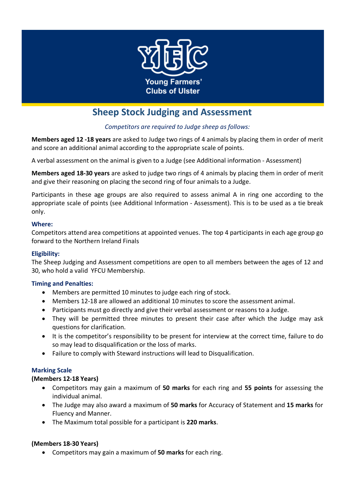

# **Sheep Stock Judging and Assessment**

# *Competitors are required to Judge sheep as follows:*

**Members aged 12 -18 years** are asked to Judge two rings of 4 animals by placing them in order of merit and score an additional animal according to the appropriate scale of points.

A verbal assessment on the animal is given to a Judge (see Additional information - Assessment)

**Members aged 18-30 years** are asked to judge two rings of 4 animals by placing them in order of merit and give their reasoning on placing the second ring of four animals to a Judge.

Participants in these age groups are also required to assess animal A in ring one according to the appropriate scale of points (see Additional Information - Assessment). This is to be used as a tie break only.

#### **Where:**

Competitors attend area competitions at appointed venues. The top 4 participants in each age group go forward to the Northern Ireland Finals

# **Eligibility:**

The Sheep Judging and Assessment competitions are open to all members between the ages of 12 and 30, who hold a valid YFCU Membership.

#### **Timing and Penalties:**

- Members are permitted 10 minutes to judge each ring of stock.
- Members 12-18 are allowed an additional 10 minutes to score the assessment animal.
- Participants must go directly and give their verbal assessment or reasons to a Judge.
- They will be permitted three minutes to present their case after which the Judge may ask questions for clarification.
- It is the competitor's responsibility to be present for interview at the correct time, failure to do so may lead to disqualification or the loss of marks.
- Failure to comply with Steward instructions will lead to Disqualification.

# **Marking Scale**

#### **(Members 12-18 Years)**

- Competitors may gain a maximum of **50 marks** for each ring and **55 points** for assessing the individual animal.
- The Judge may also award a maximum of **50 marks** for Accuracy of Statement and **15 marks** for Fluency and Manner.
- The Maximum total possible for a participant is **220 marks**.

# **(Members 18-30 Years)**

• Competitors may gain a maximum of **50 marks** for each ring.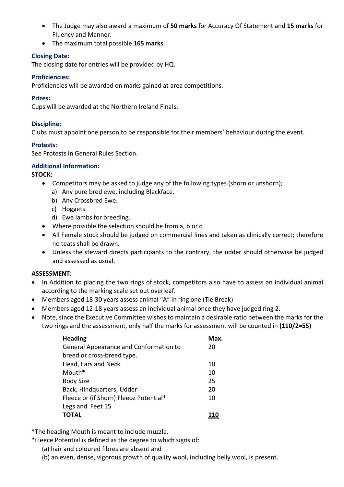- The Judge may also award a maximum of **50 marks** for Accuracy Of Statement and **15 marks** for Fluency and Manner.
- The maximum total possible **165 marks**.

## **Closing Date:**

The closing date for entries will be provided by HQ.

### **Proficiencies:**

Proficiencies will be awarded on marks gained at area competitions.

### **Prizes:**

Cups will be awarded at the Northern Ireland Finals.

# **Discipline:**

Clubs must appoint one person to be responsible for their members' behaviour during the event.

### **Protests:**

See Protests in General Rules Section.

### **Additional Information:**

### **STOCK:**

- Competitors may be asked to judge any of the following types (shorn or unshorn);
	- a) Any pure bred ewe, including Blackface.
	- b) Any Crossbred Ewe.
	- c) Hoggets.
	- d) Ewe lambs for breeding.
- Where possible the selection should be from a, b or c.
- All Female stock should be judged on commercial lines and taken as clinically correct; therefore no teats shall be drawn.
- Unless the steward directs participants to the contrary, the udder should otherwise be judged and assessed as usual.

#### **ASSESSMENT:**

- In Addition to placing the two rings of stock, competitors also have to assess an individual animal according to the marking scale set out overleaf.
- Members aged 18-30 years assess animal "A" in ring one (Tie Break)
- Members aged 12-18 years assess an individual animal once they have judged ring 2.
- Note, since the Executive Committee wishes to maintain a desirable ratio between the marks for the two rings and the assessment, only half the marks for assessment will be counted in **(110/2=55)**

| <b>Heading</b>                         | Max. |
|----------------------------------------|------|
| General Appearance and Conformation to | 20   |
| breed or cross-breed type.             |      |
| Head, Ears and Neck                    | 10   |
| Mouth*                                 | 10   |
| <b>Body Size</b>                       | 25   |
| Back, Hindquarters, Udder              | 20   |
| Fleece or (if Shorn) Fleece Potential* | 10   |
| Legs and Feet 15                       |      |
| <b>TOTAL</b>                           |      |

\*The heading Mouth is meant to include muzzle.

\*Fleece Potential is defined as the degree to which signs of:

- (a) hair and coloured fibres are absent and
- (b) an even, dense, vigorous growth of quality wool, including belly wool, is present.